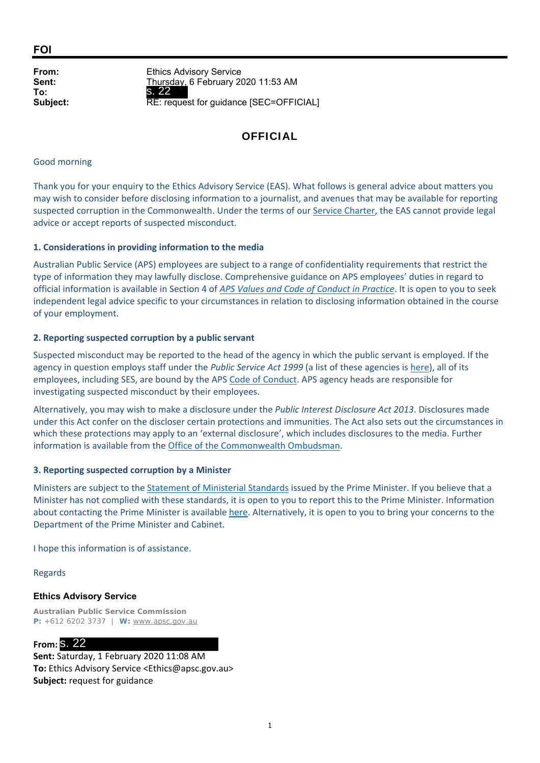**FOI**

**To:**

**From:** Ethics Advisory Service **Sent:** Thursday, 6 February 2020 11:53 AM **Subject:** RE: request for guidance [SEC=OFFICIAL] s. 22

# **OFFICIAL**

#### Good morning

Thank you for your enquiry to the Ethics Advisory Service (EAS). What follows is general advice about matters you may wish to consider before disclosing information to a journalist, and avenues that may be available for reporting suspected corruption in the Commonwealth. Under the terms of our Service Charter, the EAS cannot provide legal advice or accept reports of suspected misconduct.

### **1. Considerations in providing information to the media**

Australian Public Service (APS) employees are subject to a range of confidentiality requirements that restrict the type of information they may lawfully disclose. Comprehensive guidance on APS employees' duties in regard to official information is available in Section 4 of *APS Values and Code of Conduct in Practice*. It is open to you to seek independent legal advice specific to your circumstances in relation to disclosing information obtained in the course of your employment.

### **2. Reporting suspected corruption by a public servant**

Suspected misconduct may be reported to the head of the agency in which the public servant is employed. If the agency in question employs staff under the *Public Service Act 1999* (a list of these agencies is here), all of its employees, including SES, are bound by the APS Code of Conduct. APS agency heads are responsible for investigating suspected misconduct by their employees.

Alternatively, you may wish to make a disclosure under the *Public Interest Disclosure Act 2013*. Disclosures made under this Act confer on the discloser certain protections and immunities. The Act also sets out the circumstances in which these protections may apply to an 'external disclosure', which includes disclosures to the media. Further information is available from the Office of the Commonwealth Ombudsman.

### **3. Reporting suspected corruption by a Minister**

Ministers are subject to the Statement of Ministerial Standards issued by the Prime Minister. If you believe that a Minister has not complied with these standards, it is open to you to report this to the Prime Minister. Information about contacting the Prime Minister is available here. Alternatively, it is open to you to bring your concerns to the Department of the Prime Minister and Cabinet.

I hope this information is of assistance.

Regards

### **Ethics Advisory Service**

**Australian Public Service Commission P:** +612 6202 3737 | **W:** www.apsc.gov.au

# **From:** s. 22

**Sent:** Saturday, 1 February 2020 11:08 AM **To:** Ethics Advisory Service <Ethics@apsc.gov.au> **Subject:** request for guidance